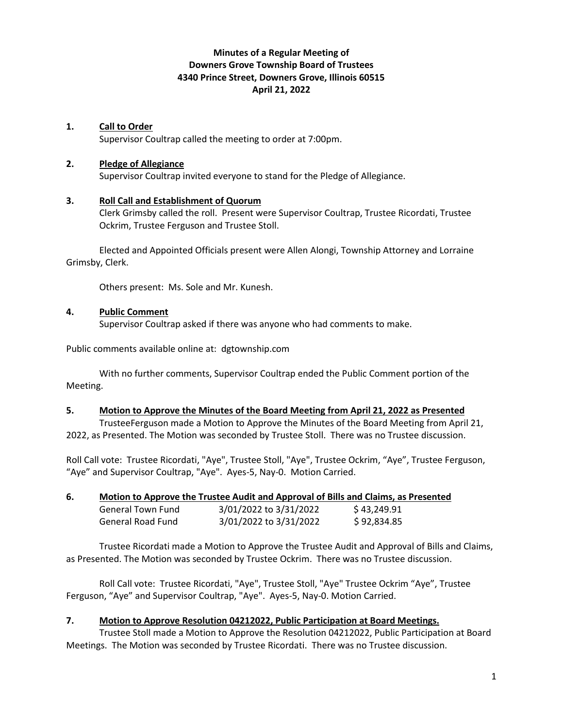# **Minutes of a Regular Meeting of Downers Grove Township Board of Trustees 4340 Prince Street, Downers Grove, Illinois 60515 April 21, 2022**

### **1. Call to Order**

Supervisor Coultrap called the meeting to order at 7:00pm.

#### **2. Pledge of Allegiance**

Supervisor Coultrap invited everyone to stand for the Pledge of Allegiance.

#### **3. Roll Call and Establishment of Quorum**

Clerk Grimsby called the roll. Present were Supervisor Coultrap, Trustee Ricordati, Trustee Ockrim, Trustee Ferguson and Trustee Stoll.

Elected and Appointed Officials present were Allen Alongi, Township Attorney and Lorraine Grimsby, Clerk.

Others present: Ms. Sole and Mr. Kunesh.

#### **4. Public Comment**

Supervisor Coultrap asked if there was anyone who had comments to make.

Public comments available online at: dgtownship.com

With no further comments, Supervisor Coultrap ended the Public Comment portion of the Meeting.

#### **5. Motion to Approve the Minutes of the Board Meeting from April 21, 2022 as Presented**

TrusteeFerguson made a Motion to Approve the Minutes of the Board Meeting from April 21, 2022, as Presented. The Motion was seconded by Trustee Stoll. There was no Trustee discussion.

Roll Call vote: Trustee Ricordati, "Aye", Trustee Stoll, "Aye", Trustee Ockrim, "Aye", Trustee Ferguson, "Aye" and Supervisor Coultrap, "Aye". Ayes-5, Nay-0. Motion Carried.

### **6. Motion to Approve the Trustee Audit and Approval of Bills and Claims, as Presented**

| <b>General Town Fund</b> | 3/01/2022 to 3/31/2022 | \$43,249.91 |
|--------------------------|------------------------|-------------|
| General Road Fund        | 3/01/2022 to 3/31/2022 | \$92,834.85 |

Trustee Ricordati made a Motion to Approve the Trustee Audit and Approval of Bills and Claims, as Presented. The Motion was seconded by Trustee Ockrim. There was no Trustee discussion.

Roll Call vote: Trustee Ricordati, "Aye", Trustee Stoll, "Aye" Trustee Ockrim "Aye", Trustee Ferguson, "Aye" and Supervisor Coultrap, "Aye". Ayes-5, Nay-0. Motion Carried.

### **7. Motion to Approve Resolution 04212022, Public Participation at Board Meetings.**

Trustee Stoll made a Motion to Approve the Resolution 04212022, Public Participation at Board Meetings. The Motion was seconded by Trustee Ricordati. There was no Trustee discussion.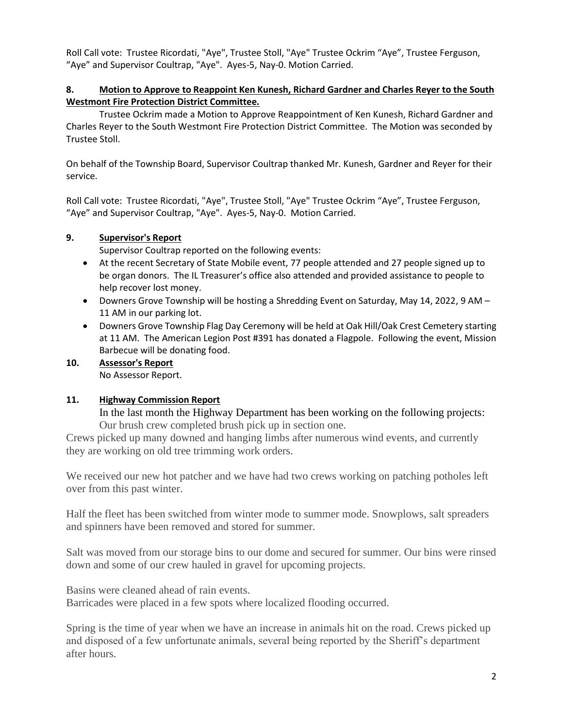Roll Call vote: Trustee Ricordati, "Aye", Trustee Stoll, "Aye" Trustee Ockrim "Aye", Trustee Ferguson, "Aye" and Supervisor Coultrap, "Aye". Ayes-5, Nay-0. Motion Carried.

## **8. Motion to Approve to Reappoint Ken Kunesh, Richard Gardner and Charles Reyer to the South Westmont Fire Protection District Committee.**

Trustee Ockrim made a Motion to Approve Reappointment of Ken Kunesh, Richard Gardner and Charles Reyer to the South Westmont Fire Protection District Committee. The Motion was seconded by Trustee Stoll.

On behalf of the Township Board, Supervisor Coultrap thanked Mr. Kunesh, Gardner and Reyer for their service.

Roll Call vote: Trustee Ricordati, "Aye", Trustee Stoll, "Aye" Trustee Ockrim "Aye", Trustee Ferguson, "Aye" and Supervisor Coultrap, "Aye". Ayes-5, Nay-0. Motion Carried.

## **9. Supervisor's Report**

Supervisor Coultrap reported on the following events:

- At the recent Secretary of State Mobile event, 77 people attended and 27 people signed up to be organ donors. The IL Treasurer's office also attended and provided assistance to people to help recover lost money.
- Downers Grove Township will be hosting a Shredding Event on Saturday, May 14, 2022, 9 AM 11 AM in our parking lot.
- Downers Grove Township Flag Day Ceremony will be held at Oak Hill/Oak Crest Cemetery starting at 11 AM. The American Legion Post #391 has donated a Flagpole. Following the event, Mission Barbecue will be donating food.
- **10. Assessor's Report** No Assessor Report.

## **11. Highway Commission Report**

In the last month the Highway Department has been working on the following projects: Our brush crew completed brush pick up in section one.

Crews picked up many downed and hanging limbs after numerous wind events, and currently they are working on old tree trimming work orders.

We received our new hot patcher and we have had two crews working on patching potholes left over from this past winter.

Half the fleet has been switched from winter mode to summer mode. Snowplows, salt spreaders and spinners have been removed and stored for summer.

Salt was moved from our storage bins to our dome and secured for summer. Our bins were rinsed down and some of our crew hauled in gravel for upcoming projects.

Basins were cleaned ahead of rain events.

Barricades were placed in a few spots where localized flooding occurred.

Spring is the time of year when we have an increase in animals hit on the road. Crews picked up and disposed of a few unfortunate animals, several being reported by the Sheriff's department after hours.